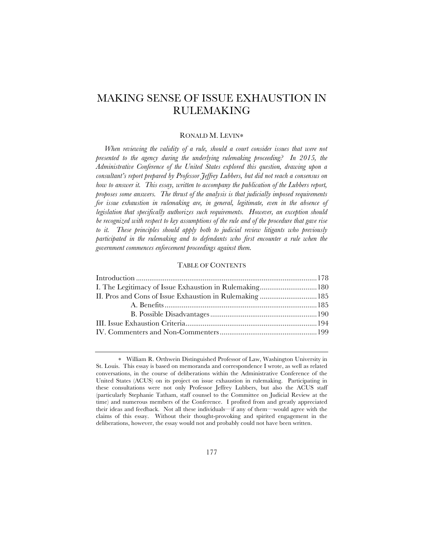# MAKING SENSE OF ISSUE EXHAUSTION IN RULEMAKING

# RONALD M. LEVIN∗

When reviewing the validity of a rule, should a court consider issues that were not *presented to the agency during the underlying rulemaking proceeding? In 2015, the Administrative Conference of the United States explored this question, drawing upon a consultant's report prepared by Professor Jeffrey Lubbers, but did not reach a consensus on how to answer it. This essay, written to accompany the publication of the Lubbers report, proposes some answers. The thrust of the analysis is that judicially imposed requirements for issue exhaustion in rulemaking are, in general, legitimate, even in the absence of legislation that specifically authorizes such requirements. However, an exception should be recognized with respect to key assumptions of the rule and of the procedure that gave rise to it. These principles should apply both to judicial review litigants who previously participated in the rulemaking and to defendants who first encounter a rule when the government commences enforcement proceedings against them.*

# TABLE OF CONTENTS

| I. The Legitimacy of Issue Exhaustion in Rulemaking 180 |
|---------------------------------------------------------|
| II. Pros and Cons of Issue Exhaustion in Rulemaking 185 |
|                                                         |
|                                                         |
|                                                         |
|                                                         |
|                                                         |

<sup>∗</sup> William R. Orthwein Distinguished Professor of Law, Washington University in St. Louis. This essay is based on memoranda and correspondence I wrote, as well as related conversations, in the course of deliberations within the Administrative Conference of the United States (ACUS) on its project on issue exhaustion in rulemaking. Participating in these consultations were not only Professor Jeffrey Lubbers, but also the ACUS staff (particularly Stephanie Tatham, staff counsel to the Committee on Judicial Review at the time) and numerous members of the Conference. I profited from and greatly appreciated their ideas and feedback. Not all these individuals—if any of them—would agree with the claims of this essay. Without their thought-provoking and spirited engagement in the deliberations, however, the essay would not and probably could not have been written.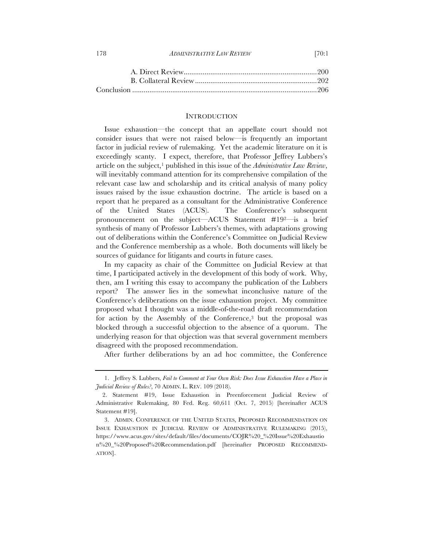| 178<br><i>ADMINISTRATIVE LAW REVIEW</i> | [70:1 |
|-----------------------------------------|-------|
|-----------------------------------------|-------|

#### INTRODUCTION

Issue exhaustion—the concept that an appellate court should not consider issues that were not raised below—is frequently an important factor in judicial review of rulemaking. Yet the academic literature on it is exceedingly scanty. I expect, therefore, that Professor Jeffrey Lubbers's article on the subject,<sup>1</sup> published in this issue of the *Administrative Law Review*, will inevitably command attention for its comprehensive compilation of the relevant case law and scholarship and its critical analysis of many policy issues raised by the issue exhaustion doctrine. The article is based on a report that he prepared as a consultant for the Administrative Conference of the United States (ACUS). The Conference's subsequent pronouncement on the subject—ACUS Statement #192—is a brief synthesis of many of Professor Lubbers's themes, with adaptations growing out of deliberations within the Conference's Committee on Judicial Review and the Conference membership as a whole. Both documents will likely be sources of guidance for litigants and courts in future cases.

In my capacity as chair of the Committee on Judicial Review at that time, I participated actively in the development of this body of work. Why, then, am I writing this essay to accompany the publication of the Lubbers report? The answer lies in the somewhat inconclusive nature of the Conference's deliberations on the issue exhaustion project. My committee proposed what I thought was a middle-of-the-road draft recommendation for action by the Assembly of the Conference,3 but the proposal was blocked through a successful objection to the absence of a quorum. The underlying reason for that objection was that several government members disagreed with the proposed recommendation.

After further deliberations by an ad hoc committee, the Conference

<sup>1.</sup> Jeffrey S. Lubbers, *Fail to Comment at Your Own Risk: Does Issue Exhaustion Have a Place in Judicial Review of Rules?*, 70 ADMIN. L. REV. 109 (2018).

 <sup>2.</sup> Statement #19, Issue Exhaustion in Preenforcement Judicial Review of Administrative Rulemaking, 80 Fed. Reg. 60,611 (Oct. 7, 2015) [hereinafter ACUS Statement #19].

<sup>3.</sup> ADMIN. CONFERENCE OF THE UNITED STATES, PROPOSED RECOMMENDATION ON ISSUE EXHAUSTION IN JUDICIAL REVIEW OF ADMINISTRATIVE RULEMAKING (2015), https://www.acus.gov/sites/default/files/documents/COJR%20\_%20Issue%20Exhaustio n%20\_%20Proposed%20Recommendation.pdf [hereinafter PROPOSED RECOMMEND-ATION].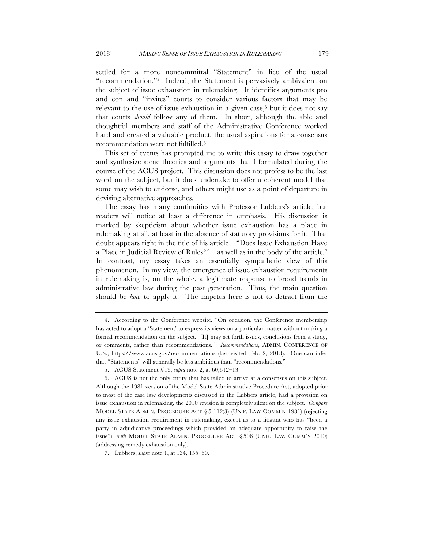settled for a more noncommittal "Statement" in lieu of the usual "recommendation."4 Indeed, the Statement is pervasively ambivalent on the subject of issue exhaustion in rulemaking. It identifies arguments pro and con and "invites" courts to consider various factors that may be relevant to the use of issue exhaustion in a given case,<sup>5</sup> but it does not say that courts *should* follow any of them. In short, although the able and thoughtful members and staff of the Administrative Conference worked hard and created a valuable product, the usual aspirations for a consensus recommendation were not fulfilled.6

This set of events has prompted me to write this essay to draw together and synthesize some theories and arguments that I formulated during the course of the ACUS project. This discussion does not profess to be the last word on the subject, but it does undertake to offer a coherent model that some may wish to endorse, and others might use as a point of departure in devising alternative approaches.

The essay has many continuities with Professor Lubbers's article, but readers will notice at least a difference in emphasis. His discussion is marked by skepticism about whether issue exhaustion has a place in rulemaking at all, at least in the absence of statutory provisions for it. That doubt appears right in the title of his article—"Does Issue Exhaustion Have a Place in Judicial Review of Rules?"—as well as in the body of the article.7 In contrast, my essay takes an essentially sympathetic view of this phenomenon. In my view, the emergence of issue exhaustion requirements in rulemaking is, on the whole, a legitimate response to broad trends in administrative law during the past generation. Thus, the main question should be *how* to apply it. The impetus here is not to detract from the

<sup>4.</sup> According to the Conference website, "On occasion, the Conference membership has acted to adopt a 'Statement' to express its views on a particular matter without making a formal recommendation on the subject. [It] may set forth issues, conclusions from a study, or comments, rather than recommendations." *Recommendations*, ADMIN. CONFERENCE OF U.S., https://www.acus.gov/recommendations (last visited Feb. 2, 2018). One can infer that "Statements" will generally be less ambitious than "recommendations."

<sup>5.</sup> ACUS Statement #19, *supra* note 2, at 60,612–13.

<sup>6.</sup> ACUS is not the only entity that has failed to arrive at a consensus on this subject. Although the 1981 version of the Model State Administrative Procedure Act, adopted prior to most of the case law developments discussed in the Lubbers article, had a provision on issue exhaustion in rulemaking, the 2010 revision is completely silent on the subject. *Compare* MODEL STATE ADMIN. PROCEDURE ACT § 5-112(3) (UNIF. LAW COMM'N 1981) (rejecting any issue exhaustion requirement in rulemaking, except as to a litigant who has "been a party in adjudicative proceedings which provided an adequate opportunity to raise the issue"), *with* MODEL STATE ADMIN. PROCEDURE ACT § 506 (UNIF. LAW COMM'N 2010) (addressing remedy exhaustion only).

<sup>7.</sup> Lubbers, *supra* note 1, at 134, 155–60.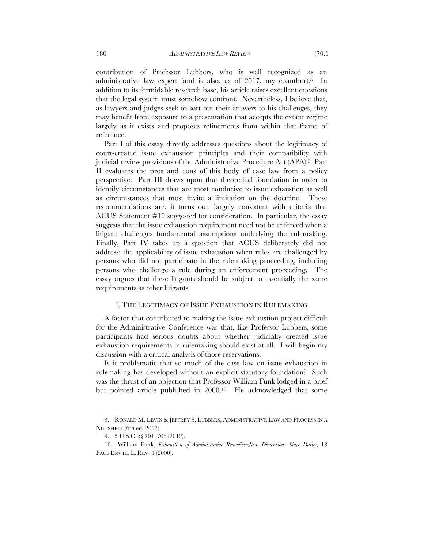contribution of Professor Lubbers, who is well recognized as an administrative law expert (and is also, as of 2017, my coauthor).8 In addition to its formidable research base, his article raises excellent questions that the legal system must somehow confront. Nevertheless, I believe that, as lawyers and judges seek to sort out their answers to his challenges, they may benefit from exposure to a presentation that accepts the extant regime largely as it exists and proposes refinements from within that frame of reference.

Part I of this essay directly addresses questions about the legitimacy of court-created issue exhaustion principles and their compatibility with judicial review provisions of the Administrative Procedure Act (APA).9 Part II evaluates the pros and cons of this body of case law from a policy perspective. Part III draws upon that theoretical foundation in order to identify circumstances that are most conducive to issue exhaustion as well as circumstances that most invite a limitation on the doctrine. These recommendations are, it turns out, largely consistent with criteria that ACUS Statement #19 suggested for consideration. In particular, the essay suggests that the issue exhaustion requirement need not be enforced when a litigant challenges fundamental assumptions underlying the rulemaking. Finally, Part IV takes up a question that ACUS deliberately did not address: the applicability of issue exhaustion when rules are challenged by persons who did not participate in the rulemaking proceeding, including persons who challenge a rule during an enforcement proceeding. essay argues that these litigants should be subject to essentially the same requirements as other litigants.

## I. THE LEGITIMACY OF ISSUE EXHAUSTION IN RULEMAKING

A factor that contributed to making the issue exhaustion project difficult for the Administrative Conference was that, like Professor Lubbers, some participants had serious doubts about whether judicially created issue exhaustion requirements in rulemaking should exist at all. I will begin my discussion with a critical analysis of those reservations.

Is it problematic that so much of the case law on issue exhaustion in rulemaking has developed without an explicit statutory foundation? Such was the thrust of an objection that Professor William Funk lodged in a brief but pointed article published in 2000.10 He acknowledged that some

<sup>8.</sup> RONALD M. LEVIN & JEFFREY S. LUBBERS, ADMINISTRATIVE LAW AND PROCESS IN A NUTSHELL (6th ed. 2017).

<sup>9.</sup> 5 U.S.C. §§ 701–706 (2012).

<sup>10.</sup> William Funk, *Exhaustion of Administrative Remedies–New Dimensions Since Darby*, 18 PACE ENVTL. L. REV. 1 (2000).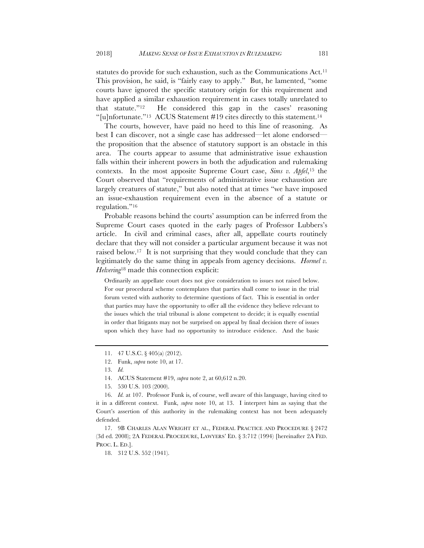statutes do provide for such exhaustion, such as the Communications Act.<sup>11</sup> This provision, he said, is "fairly easy to apply." But, he lamented, "some courts have ignored the specific statutory origin for this requirement and have applied a similar exhaustion requirement in cases totally unrelated to that statute."12 He considered this gap in the cases' reasoning "[u]nfortunate."<sup>13</sup> ACUS Statement #19 cites directly to this statement.<sup>14</sup>

The courts, however, have paid no heed to this line of reasoning. As best I can discover, not a single case has addressed—let alone endorsed the proposition that the absence of statutory support is an obstacle in this area. The courts appear to assume that administrative issue exhaustion falls within their inherent powers in both the adjudication and rulemaking contexts. In the most apposite Supreme Court case, *Sims v. Apfel*,15 the Court observed that "requirements of administrative issue exhaustion are largely creatures of statute," but also noted that at times "we have imposed an issue-exhaustion requirement even in the absence of a statute or regulation."16

Probable reasons behind the courts' assumption can be inferred from the Supreme Court cases quoted in the early pages of Professor Lubbers's article. In civil and criminal cases, after all, appellate courts routinely declare that they will not consider a particular argument because it was not raised below.17 It is not surprising that they would conclude that they can legitimately do the same thing in appeals from agency decisions. *Hormel v. Helvering*<sup>18</sup> made this connection explicit:

Ordinarily an appellate court does not give consideration to issues not raised below. For our procedural scheme contemplates that parties shall come to issue in the trial forum vested with authority to determine questions of fact. This is essential in order that parties may have the opportunity to offer all the evidence they believe relevant to the issues which the trial tribunal is alone competent to decide; it is equally essential in order that litigants may not be surprised on appeal by final decision there of issues upon which they have had no opportunity to introduce evidence. And the basic

<sup>11.</sup> 47 U.S.C. § 405(a) (2012).

<sup>12.</sup> Funk, *supra* note 10, at 17.

<sup>13.</sup> *Id.*

<sup>14.</sup> ACUS Statement #19, *supra* note 2, at 60,612 n.20.

<sup>15.</sup> 530 U.S. 103 (2000).

<sup>16.</sup> *Id.* at 107. Professor Funk is, of course, well aware of this language, having cited to it in a different context. Funk, *supra* note 10, at 13. I interpret him as saying that the Court's assertion of this authority in the rulemaking context has not been adequately defended.

<sup>17.</sup> 9B CHARLES ALAN WRIGHT ET AL., FEDERAL PRACTICE AND PROCEDURE § 2472 (3d ed. 2008); 2A FEDERAL PROCEDURE, LAWYERS' ED. § 3:712 (1994) [hereinafter 2A FED. PROC. L. ED.].

<sup>18.</sup> 312 U.S. 552 (1941).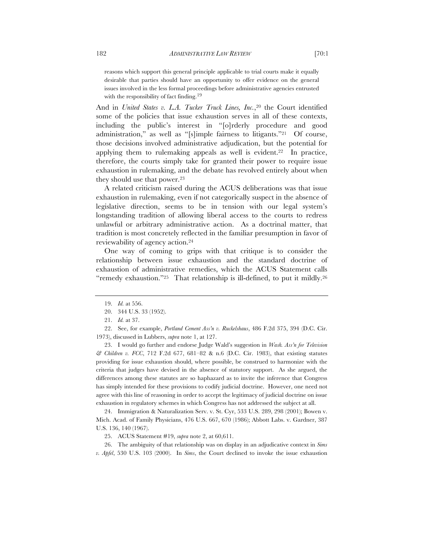reasons which support this general principle applicable to trial courts make it equally desirable that parties should have an opportunity to offer evidence on the general issues involved in the less formal proceedings before administrative agencies entrusted with the responsibility of fact finding.<sup>19</sup>

And in *United States v. L.A. Tucker Truck Lines, Inc.*,20 the Court identified some of the policies that issue exhaustion serves in all of these contexts, including the public's interest in "[o]rderly procedure and good administration," as well as "[s]imple fairness to litigants."21 Of course, those decisions involved administrative adjudication, but the potential for applying them to rulemaking appeals as well is evident.22 In practice, therefore, the courts simply take for granted their power to require issue exhaustion in rulemaking, and the debate has revolved entirely about when they should use that power.<sup>23</sup>

A related criticism raised during the ACUS deliberations was that issue exhaustion in rulemaking, even if not categorically suspect in the absence of legislative direction, seems to be in tension with our legal system's longstanding tradition of allowing liberal access to the courts to redress unlawful or arbitrary administrative action. As a doctrinal matter, that tradition is most concretely reflected in the familiar presumption in favor of reviewability of agency action.24

One way of coming to grips with that critique is to consider the relationship between issue exhaustion and the standard doctrine of exhaustion of administrative remedies, which the ACUS Statement calls "remedy exhaustion."25 That relationship is ill-defined, to put it mildly.26

22. See, for example, *Portland Cement Ass'n v. Ruckelshaus*, 486 F.2d 375, 394 (D.C. Cir. 1973), discussed in Lubbers, *supra* note 1, at 127.

23. I would go further and endorse Judge Wald's suggestion in *Wash. Ass'n for Television & Children v. FCC*, 712 F.2d 677, 681–82 & n.6 (D.C. Cir. 1983), that existing statutes providing for issue exhaustion should, where possible, be construed to harmonize with the criteria that judges have devised in the absence of statutory support. As she argued, the differences among these statutes are so haphazard as to invite the inference that Congress has simply intended for these provisions to codify judicial doctrine. However, one need not agree with this line of reasoning in order to accept the legitimacy of judicial doctrine on issue exhaustion in regulatory schemes in which Congress has not addressed the subject at all.

24. Immigration & Naturalization Serv. v. St. Cyr, 533 U.S. 289, 298 (2001); Bowen v. Mich. Acad. of Family Physicians, 476 U.S. 667, 670 (1986); Abbott Labs. v. Gardner, 387 U.S. 136, 140 (1967).

25. ACUS Statement #19, *supra* note 2, at 60,611.

26. The ambiguity of that relationship was on display in an adjudicative context in *Sims v. Apfel*, 530 U.S. 103 (2000). In *Sims*, the Court declined to invoke the issue exhaustion

<sup>19.</sup> *Id.* at 556.

<sup>20.</sup> 344 U.S. 33 (1952).

<sup>21.</sup> *Id.* at 37.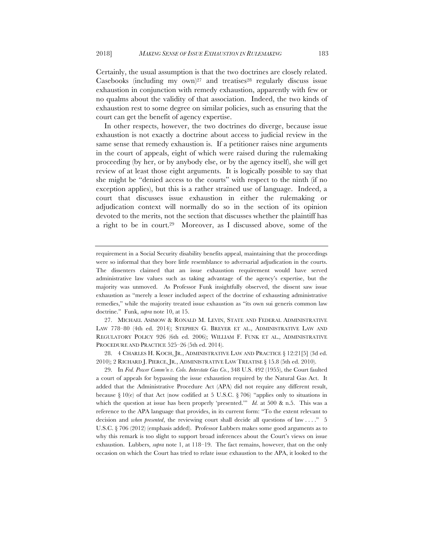Certainly, the usual assumption is that the two doctrines are closely related. Casebooks (including my  $own$ )<sup>27</sup> and treatises<sup>28</sup> regularly discuss issue exhaustion in conjunction with remedy exhaustion, apparently with few or no qualms about the validity of that association. Indeed, the two kinds of exhaustion rest to some degree on similar policies, such as ensuring that the court can get the benefit of agency expertise.

In other respects, however, the two doctrines do diverge, because issue exhaustion is not exactly a doctrine about access to judicial review in the same sense that remedy exhaustion is. If a petitioner raises nine arguments in the court of appeals, eight of which were raised during the rulemaking proceeding (by her, or by anybody else, or by the agency itself), she will get review of at least those eight arguments. It is logically possible to say that she might be "denied access to the courts" with respect to the ninth (if no exception applies), but this is a rather strained use of language. Indeed, a court that discusses issue exhaustion in either the rulemaking or adjudication context will normally do so in the section of its opinion devoted to the merits, not the section that discusses whether the plaintiff has a right to be in court.29 Moreover, as I discussed above, some of the

27. MICHAEL ASIMOW & RONALD M. LEVIN, STATE AND FEDERAL ADMINISTRATIVE LAW 778–80 (4th ed. 2014); STEPHEN G. BREYER ET AL., ADMINISTRATIVE LAW AND REGULATORY POLICY 926 (6th ed. 2006); WILLIAM F. FUNK ET AL., ADMINISTRATIVE PROCEDURE AND PRACTICE 525–26 (5th ed. 2014).

28. 4 CHARLES H. KOCH, JR., ADMINISTRATIVE LAW AND PRACTICE § 12:21[5] (3d ed. 2010); 2 RICHARD J. PIERCE, JR., ADMINISTRATIVE LAW TREATISE § 15.8 (5th ed. 2010).

29. In *Fed. Power Comm'n v. Colo. Interstate Gas Co.*, 348 U.S. 492 (1955), the Court faulted a court of appeals for bypassing the issue exhaustion required by the Natural Gas Act. It added that the Administrative Procedure Act (APA) did not require any different result, because § 10(e) of that Act (now codified at 5 U.S.C. § 706) "applies only to situations in which the question at issue has been properly 'presented.'" *Id.* at 500 & n.5. This was a reference to the APA language that provides, in its current form: "To the extent relevant to decision and *when presented*, the reviewing court shall decide all questions of law . . . ." 5 U.S.C. § 706 (2012) (emphasis added). Professor Lubbers makes some good arguments as to why this remark is too slight to support broad inferences about the Court's views on issue exhaustion. Lubbers, *supra* note 1, at 118–19. The fact remains, however, that on the only occasion on which the Court has tried to relate issue exhaustion to the APA, it looked to the

requirement in a Social Security disability benefits appeal, maintaining that the proceedings were so informal that they bore little resemblance to adversarial adjudication in the courts. The dissenters claimed that an issue exhaustion requirement would have served administrative law values such as taking advantage of the agency's expertise, but the majority was unmoved. As Professor Funk insightfully observed, the dissent saw issue exhaustion as "merely a lesser included aspect of the doctrine of exhausting administrative remedies," while the majority treated issue exhaustion as "its own sui generis common law doctrine." Funk, *supra* note 10, at 15.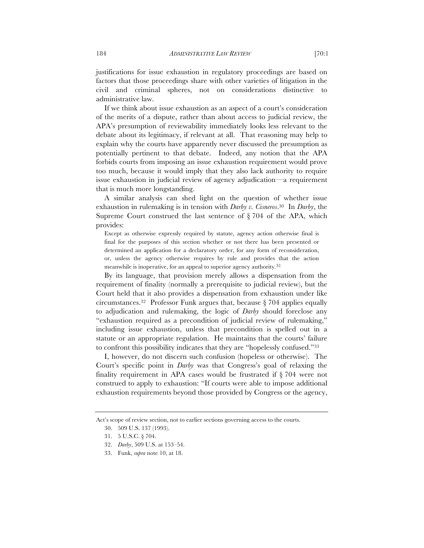justifications for issue exhaustion in regulatory proceedings are based on factors that those proceedings share with other varieties of litigation in the civil and criminal spheres, not on considerations distinctive to administrative law.

If we think about issue exhaustion as an aspect of a court's consideration of the merits of a dispute, rather than about access to judicial review, the APA's presumption of reviewability immediately looks less relevant to the debate about its legitimacy, if relevant at all. That reasoning may help to explain why the courts have apparently never discussed the presumption as potentially pertinent to that debate. Indeed, any notion that the APA forbids courts from imposing an issue exhaustion requirement would prove too much, because it would imply that they also lack authority to require issue exhaustion in judicial review of agency adjudication—a requirement that is much more longstanding.

A similar analysis can shed light on the question of whether issue exhaustion in rulemaking is in tension with *Darby v. Cisneros*.30 In *Darby*, the Supreme Court construed the last sentence of § 704 of the APA, which provides:

Except as otherwise expressly required by statute, agency action otherwise final is final for the purposes of this section whether or not there has been presented or determined an application for a declaratory order, for any form of reconsideration, or, unless the agency otherwise requires by rule and provides that the action meanwhile is inoperative, for an appeal to superior agency authority.31

By its language, that provision merely allows a dispensation from the requirement of finality (normally a prerequisite to judicial review), but the Court held that it also provides a dispensation from exhaustion under like circumstances.<sup>32</sup> Professor Funk argues that, because  $\S 704$  applies equally to adjudication and rulemaking, the logic of *Darby* should foreclose any "exhaustion required as a precondition of judicial review of rulemaking," including issue exhaustion, unless that precondition is spelled out in a statute or an appropriate regulation. He maintains that the courts' failure to confront this possibility indicates that they are "hopelessly confused."33

I, however, do not discern such confusion (hopeless or otherwise). The Court's specific point in *Darby* was that Congress's goal of relaxing the finality requirement in APA cases would be frustrated if § 704 were not construed to apply to exhaustion: "If courts were able to impose additional exhaustion requirements beyond those provided by Congress or the agency,

Act's scope of review section, not to earlier sections governing access to the courts.

<sup>30.</sup> 509 U.S. 137 (1993).

<sup>31.</sup> 5 U.S.C. § 704.

<sup>32.</sup> *Darby*, 509 U.S. at 153–54.

<sup>33.</sup> Funk, *supra* note 10, at 18.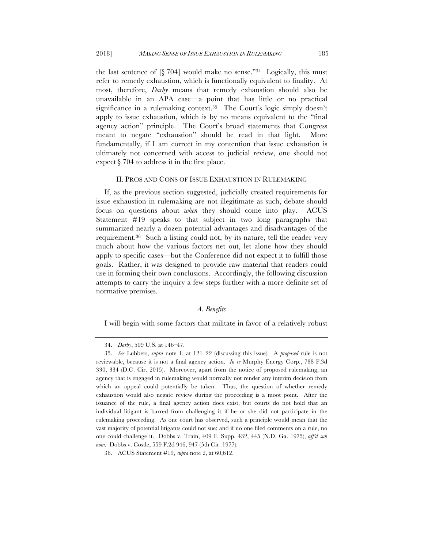the last sentence of  $\S$  704] would make no sense."<sup>34</sup> Logically, this must refer to remedy exhaustion, which is functionally equivalent to finality. At most, therefore, *Darby* means that remedy exhaustion should also be unavailable in an APA case—a point that has little or no practical significance in a rulemaking context.<sup>35</sup> The Court's logic simply doesn't apply to issue exhaustion, which is by no means equivalent to the "final agency action" principle. The Court's broad statements that Congress meant to negate "exhaustion" should be read in that light. More fundamentally, if I am correct in my contention that issue exhaustion is ultimately not concerned with access to judicial review, one should not expect § 704 to address it in the first place.

# II. PROS AND CONS OF ISSUE EXHAUSTION IN RULEMAKING

If, as the previous section suggested, judicially created requirements for issue exhaustion in rulemaking are not illegitimate as such, debate should focus on questions about *when* they should come into play. ACUS Statement #19 speaks to that subject in two long paragraphs that summarized nearly a dozen potential advantages and disadvantages of the requirement.36 Such a listing could not, by its nature, tell the reader very much about how the various factors net out, let alone how they should apply to specific cases—but the Conference did not expect it to fulfill those goals. Rather, it was designed to provide raw material that readers could use in forming their own conclusions. Accordingly, the following discussion attempts to carry the inquiry a few steps further with a more definite set of normative premises.

# *A. Benefits*

I will begin with some factors that militate in favor of a relatively robust

<sup>34.</sup> *Darby*, 509 U.S. at 146–47.

<sup>35.</sup> *See* Lubbers, *supra* note 1, at 121–22 (discussing this issue). A *proposed* rule is not reviewable, because it is not a final agency action. *In re* Murphy Energy Corp., 788 F.3d 330, 334 (D.C. Cir. 2015). Moreover, apart from the notice of proposed rulemaking, an agency that is engaged in rulemaking would normally not render any interim decision from which an appeal could potentially be taken. Thus, the question of whether remedy exhaustion would also negate review during the proceeding is a moot point. After the issuance of the rule, a final agency action does exist, but courts do not hold that an individual litigant is barred from challenging it if he or she did not participate in the rulemaking proceeding. As one court has observed, such a principle would mean that the vast majority of potential litigants could not sue; and if no one filed comments on a rule, no one could challenge it. Dobbs v. Train, 409 F. Supp. 432, 445 (N.D. Ga. 1975), *aff'd sub nom.* Dobbs v. Costle, 559 F.2d 946, 947 (5th Cir. 1977).

<sup>36.</sup> ACUS Statement #19, *supra* note 2, at 60,612.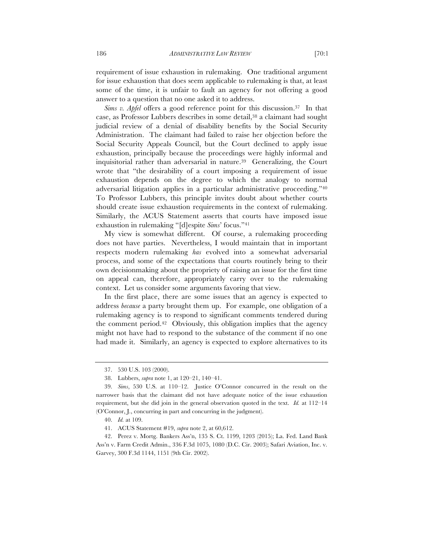requirement of issue exhaustion in rulemaking. One traditional argument for issue exhaustion that does seem applicable to rulemaking is that, at least some of the time, it is unfair to fault an agency for not offering a good answer to a question that no one asked it to address.

*Sims v. Apfel* offers a good reference point for this discussion.37 In that case, as Professor Lubbers describes in some detail,38 a claimant had sought judicial review of a denial of disability benefits by the Social Security Administration. The claimant had failed to raise her objection before the Social Security Appeals Council, but the Court declined to apply issue exhaustion, principally because the proceedings were highly informal and inquisitorial rather than adversarial in nature.39 Generalizing, the Court wrote that "the desirability of a court imposing a requirement of issue exhaustion depends on the degree to which the analogy to normal adversarial litigation applies in a particular administrative proceeding."40 To Professor Lubbers, this principle invites doubt about whether courts should create issue exhaustion requirements in the context of rulemaking. Similarly, the ACUS Statement asserts that courts have imposed issue exhaustion in rulemaking "[d]espite *Sims*' focus."41

My view is somewhat different. Of course, a rulemaking proceeding does not have parties. Nevertheless, I would maintain that in important respects modern rulemaking *has* evolved into a somewhat adversarial process, and some of the expectations that courts routinely bring to their own decisionmaking about the propriety of raising an issue for the first time on appeal can, therefore, appropriately carry over to the rulemaking context. Let us consider some arguments favoring that view.

In the first place, there are some issues that an agency is expected to address *because* a party brought them up. For example, one obligation of a rulemaking agency is to respond to significant comments tendered during the comment period.42 Obviously, this obligation implies that the agency might not have had to respond to the substance of the comment if no one had made it. Similarly, an agency is expected to explore alternatives to its

<sup>37.</sup> 530 U.S. 103 (2000).

<sup>38.</sup> Lubbers, *supra* note 1, at 120–21, 140–41.

<sup>39.</sup> *Sims*, 530 U.S. at 110–12. Justice O'Connor concurred in the result on the narrower basis that the claimant did not have adequate notice of the issue exhaustion requirement, but she did join in the general observation quoted in the text. *Id.* at 112–14 (O'Connor, J., concurring in part and concurring in the judgment).

<sup>40.</sup> *Id.* at 109.

<sup>41.</sup> ACUS Statement #19, *supra* note 2, at 60,612.

<sup>42.</sup> Perez v. Mortg. Bankers Ass'n, 135 S. Ct. 1199, 1203 (2015); La. Fed. Land Bank Ass'n v. Farm Credit Admin., 336 F.3d 1075, 1080 (D.C. Cir. 2003); Safari Aviation, Inc. v. Garvey, 300 F.3d 1144, 1151 (9th Cir. 2002).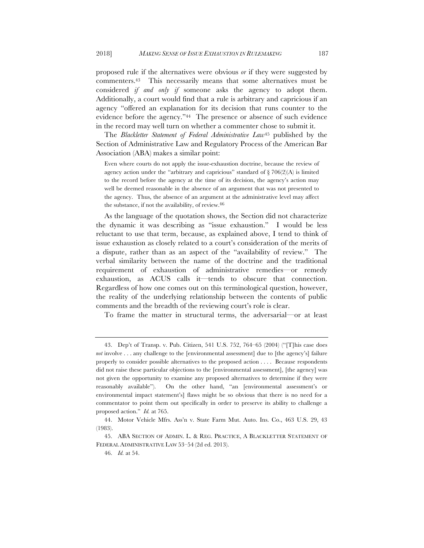proposed rule if the alternatives were obvious *or* if they were suggested by commenters.43 This necessarily means that some alternatives must be considered *if and only if* someone asks the agency to adopt them. Additionally, a court would find that a rule is arbitrary and capricious if an agency "offered an explanation for its decision that runs counter to the evidence before the agency."44 The presence or absence of such evidence in the record may well turn on whether a commenter chose to submit it.

The *Blackletter Statement of Federal Administrative Law*<sup>45</sup> published by the Section of Administrative Law and Regulatory Process of the American Bar Association (ABA) makes a similar point:

Even where courts do not apply the issue-exhaustion doctrine, because the review of agency action under the "arbitrary and capricious" standard of  $\S 706(2)(A)$  is limited to the record before the agency at the time of its decision, the agency's action may well be deemed reasonable in the absence of an argument that was not presented to the agency. Thus, the absence of an argument at the administrative level may affect the substance, if not the availability, of review.46

As the language of the quotation shows, the Section did not characterize the dynamic it was describing as "issue exhaustion." I would be less reluctant to use that term, because, as explained above, I tend to think of issue exhaustion as closely related to a court's consideration of the merits of a dispute, rather than as an aspect of the "availability of review." The verbal similarity between the name of the doctrine and the traditional requirement of exhaustion of administrative remedies—or remedy exhaustion, as ACUS calls it—tends to obscure that connection. Regardless of how one comes out on this terminological question, however, the reality of the underlying relationship between the contents of public comments and the breadth of the reviewing court's role is clear.

To frame the matter in structural terms, the adversarial—or at least

<sup>43.</sup> Dep't of Transp. v. Pub. Citizen, 541 U.S. 752, 764–65 (2004) ("[T]his case does *not* involve . . . any challenge to the [environmental assessment] due to [the agency's] failure properly to consider possible alternatives to the proposed action . . . . Because respondents did not raise these particular objections to the [environmental assessment], [the agency] was not given the opportunity to examine any proposed alternatives to determine if they were reasonably available"). On the other hand, "an [environmental assessment's or environmental impact statement's] flaws might be so obvious that there is no need for a commentator to point them out specifically in order to preserve its ability to challenge a proposed action." *Id.* at 765.

<sup>44.</sup> Motor Vehicle Mfrs. Ass'n v. State Farm Mut. Auto. Ins. Co., 463 U.S. 29, 43 (1983).

<sup>45.</sup> ABA SECTION OF ADMIN. L. & REG. PRACTICE, A BLACKLETTER STATEMENT OF FEDERAL ADMINISTRATIVE LAW 53–54 (2d ed. 2013).

<sup>46.</sup> *Id.* at 54.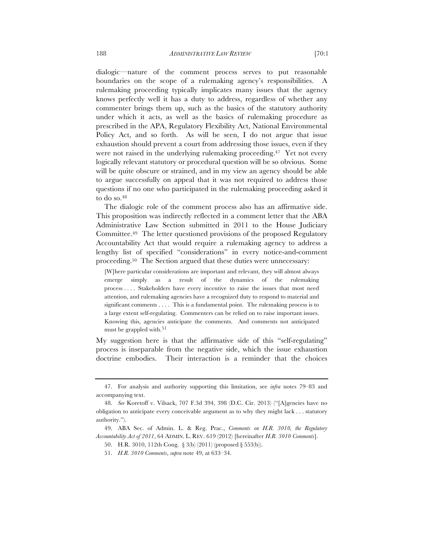dialogic—nature of the comment process serves to put reasonable boundaries on the scope of a rulemaking agency's responsibilities. A rulemaking proceeding typically implicates many issues that the agency knows perfectly well it has a duty to address, regardless of whether any commenter brings them up, such as the basics of the statutory authority under which it acts, as well as the basics of rulemaking procedure as prescribed in the APA, Regulatory Flexibility Act, National Environmental Policy Act, and so forth. As will be seen, I do not argue that issue exhaustion should prevent a court from addressing those issues, even if they were not raised in the underlying rulemaking proceeding.<sup>47</sup> Yet not every logically relevant statutory or procedural question will be so obvious. Some will be quite obscure or strained, and in my view an agency should be able to argue successfully on appeal that it was not required to address those questions if no one who participated in the rulemaking proceeding asked it to do so.<sup>48</sup>

The dialogic role of the comment process also has an affirmative side. This proposition was indirectly reflected in a comment letter that the ABA Administrative Law Section submitted in 2011 to the House Judiciary Committee.49 The letter questioned provisions of the proposed Regulatory Accountability Act that would require a rulemaking agency to address a lengthy list of specified "considerations" in every notice-and-comment proceeding.50 The Section argued that these duties were unnecessary:

[W]here particular considerations are important and relevant, they will almost always emerge simply as a result of the dynamics of the rulemaking process . . . . Stakeholders have every incentive to raise the issues that most need attention, and rulemaking agencies have a recognized duty to respond to material and significant comments . . . . This is a fundamental point. The rulemaking process is to a large extent self-regulating. Commenters can be relied on to raise important issues. Knowing this, agencies anticipate the comments. And comments not anticipated must be grappled with.<sup>51</sup>

My suggestion here is that the affirmative side of this "self-regulating" process is inseparable from the negative side, which the issue exhaustion doctrine embodies. Their interaction is a reminder that the choices

<sup>47.</sup> For analysis and authority supporting this limitation, see *infra* notes 79–83 and accompanying text.

<sup>48.</sup> *See* Koretoff v. Vilsack, 707 F.3d 394, 398 (D.C. Cir. 2013) ("[A]gencies have no obligation to anticipate every conceivable argument as to why they might lack . . . statutory authority.").

<sup>49.</sup> ABA Sec. of Admin. L. & Reg. Prac., *Comments on H.R. 3010, the Regulatory Accountability Act of 2011*, 64 ADMIN. L. REV. 619 (2012) [hereinafter *H.R. 3010 Comments*].

<sup>50.</sup> H.R. 3010, 112th Cong. § 3(b) (2011) (proposed § 553(b)).

<sup>51.</sup> *H.R. 3010 Comments*, *supra* note 49, at 633–34.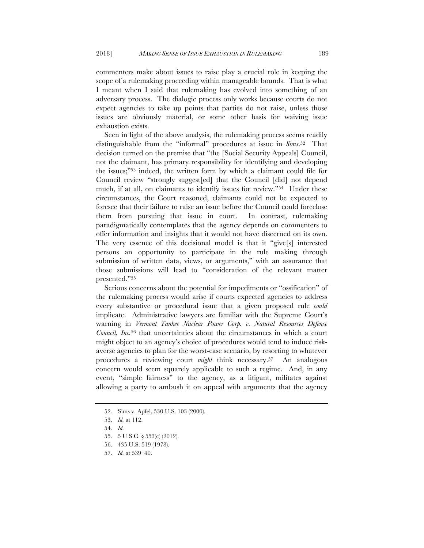commenters make about issues to raise play a crucial role in keeping the scope of a rulemaking proceeding within manageable bounds. That is what I meant when I said that rulemaking has evolved into something of an adversary process. The dialogic process only works because courts do not expect agencies to take up points that parties do not raise, unless those issues are obviously material, or some other basis for waiving issue exhaustion exists.

Seen in light of the above analysis, the rulemaking process seems readily distinguishable from the "informal" procedures at issue in *Sims*.52 That decision turned on the premise that "the [Social Security Appeals] Council, not the claimant, has primary responsibility for identifying and developing the issues;"53 indeed, the written form by which a claimant could file for Council review "strongly suggest[ed] that the Council [did] not depend much, if at all, on claimants to identify issues for review."54 Under these circumstances, the Court reasoned, claimants could not be expected to foresee that their failure to raise an issue before the Council could foreclose them from pursuing that issue in court. In contrast, rulemaking paradigmatically contemplates that the agency depends on commenters to offer information and insights that it would not have discerned on its own. The very essence of this decisional model is that it "give[s] interested persons an opportunity to participate in the rule making through submission of written data, views, or arguments," with an assurance that those submissions will lead to "consideration of the relevant matter presented."55

Serious concerns about the potential for impediments or "ossification" of the rulemaking process would arise if courts expected agencies to address every substantive or procedural issue that a given proposed rule *could* implicate. Administrative lawyers are familiar with the Supreme Court's warning in *Vermont Yankee Nuclear Power Corp. v. Natural Resources Defense Council, Inc.*<sup>56</sup> that uncertainties about the circumstances in which a court might object to an agency's choice of procedures would tend to induce riskaverse agencies to plan for the worst-case scenario, by resorting to whatever procedures a reviewing court *might* think necessary.57 An analogous concern would seem squarely applicable to such a regime. And, in any event, "simple fairness" to the agency, as a litigant, militates against allowing a party to ambush it on appeal with arguments that the agency

<sup>52.</sup> Sims v. Apfel, 530 U.S. 103 (2000).

<sup>53.</sup> *Id.* at 112.

<sup>54.</sup> *Id.*

<sup>55.</sup> 5 U.S.C. § 553(c) (2012).

<sup>56.</sup> 435 U.S. 519 (1978).

<sup>57.</sup> *Id.* at 539–40.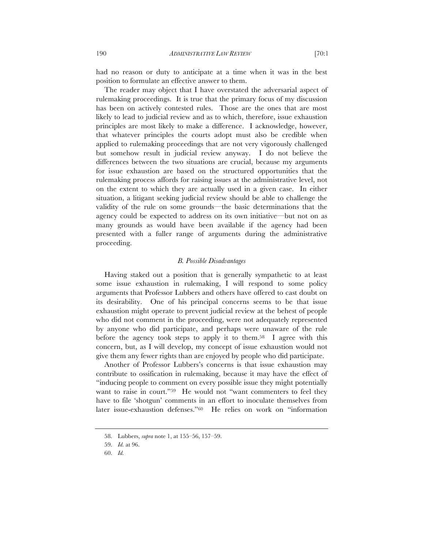had no reason or duty to anticipate at a time when it was in the best position to formulate an effective answer to them.

The reader may object that I have overstated the adversarial aspect of rulemaking proceedings. It is true that the primary focus of my discussion has been on actively contested rules. Those are the ones that are most likely to lead to judicial review and as to which, therefore, issue exhaustion principles are most likely to make a difference. I acknowledge, however, that whatever principles the courts adopt must also be credible when applied to rulemaking proceedings that are not very vigorously challenged but somehow result in judicial review anyway. I do not believe the differences between the two situations are crucial, because my arguments for issue exhaustion are based on the structured opportunities that the rulemaking process affords for raising issues at the administrative level, not on the extent to which they are actually used in a given case. In either situation, a litigant seeking judicial review should be able to challenge the validity of the rule on some grounds—the basic determinations that the agency could be expected to address on its own initiative—but not on as many grounds as would have been available if the agency had been presented with a fuller range of arguments during the administrative proceeding.

#### *B. Possible Disadvantages*

Having staked out a position that is generally sympathetic to at least some issue exhaustion in rulemaking, I will respond to some policy arguments that Professor Lubbers and others have offered to cast doubt on its desirability. One of his principal concerns seems to be that issue exhaustion might operate to prevent judicial review at the behest of people who did not comment in the proceeding, were not adequately represented by anyone who did participate, and perhaps were unaware of the rule before the agency took steps to apply it to them.<sup>58</sup> I agree with this concern, but, as I will develop, my concept of issue exhaustion would not give them any fewer rights than are enjoyed by people who did participate.

Another of Professor Lubbers's concerns is that issue exhaustion may contribute to ossification in rulemaking, because it may have the effect of "inducing people to comment on every possible issue they might potentially want to raise in court."59 He would not "want commenters to feel they have to file 'shotgun' comments in an effort to inoculate themselves from later issue-exhaustion defenses."60 He relies on work on "information

<sup>58.</sup> Lubbers, *supra* note 1, at 155–56, 157–59.

<sup>59.</sup> *Id.* at 96.

<sup>60.</sup> *Id.*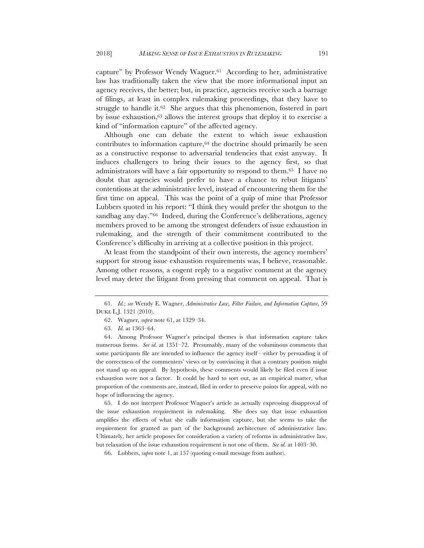capture" by Professor Wendy Wagner.61 According to her, administrative law has traditionally taken the view that the more informational input an agency receives, the better; but, in practice, agencies receive such a barrage of filings, at least in complex rulemaking proceedings, that they have to struggle to handle it.<sup>62</sup> She argues that this phenomenon, fostered in part by issue exhaustion,63 allows the interest groups that deploy it to exercise a kind of "information capture" of the affected agency.

Although one can debate the extent to which issue exhaustion contributes to information capture, $64$  the doctrine should primarily be seen as a constructive response to adversarial tendencies that exist anyway. It induces challengers to bring their issues to the agency first, so that administrators will have a fair opportunity to respond to them.65 I have no doubt that agencies would prefer to have a chance to rebut litigants' contentions at the administrative level, instead of encountering them for the first time on appeal. This was the point of a quip of mine that Professor Lubbers quoted in his report: "I think they would prefer the shotgun to the sandbag any day."66 Indeed, during the Conference's deliberations, agency members proved to be among the strongest defenders of issue exhaustion in rulemaking, and the strength of their commitment contributed to the Conference's difficulty in arriving at a collective position in this project.

At least from the standpoint of their own interests, the agency members' support for strong issue exhaustion requirements was, I believe, reasonable. Among other reasons, a cogent reply to a negative comment at the agency level may deter the litigant from pressing that comment on appeal. That is

65. I do not interpret Professor Wagner's article as actually expressing disapproval of the issue exhaustion requirement in rulemaking. She does say that issue exhaustion amplifies the effects of what she calls information capture, but she seems to take the requirement for granted as part of the background architecture of administrative law. Ultimately, her article proposes for consideration a variety of reforms in administrative law, but relaxation of the issue exhaustion requirement is not one of them. *See id.* at 1403–30.

66. Lubbers, *supra* note 1, at 157 (quoting e-mail message from author).

<sup>61.</sup> *Id.*; *see* Wendy E. Wagner, *Administrative Law, Filter Failure, and Information Capture*, 59 DUKE L.J. 1321 (2010).

<sup>62.</sup> Wagner, *supra* note 61, at 1329–34.

<sup>63.</sup> *Id.* at 1363–64.

<sup>64.</sup> Among Professor Wagner's principal themes is that information capture takes numerous forms. *See id.* at 1351–72. Presumably, many of the voluminous comments that some participants file are intended to influence the agency itself—either by persuading it of the correctness of the commenters' views or by convincing it that a contrary position might not stand up on appeal. By hypothesis, these comments would likely be filed even if issue exhaustion were not a factor. It could be hard to sort out, as an empirical matter, what proportion of the comments are, instead, filed in order to preserve points for appeal, with no hope of influencing the agency.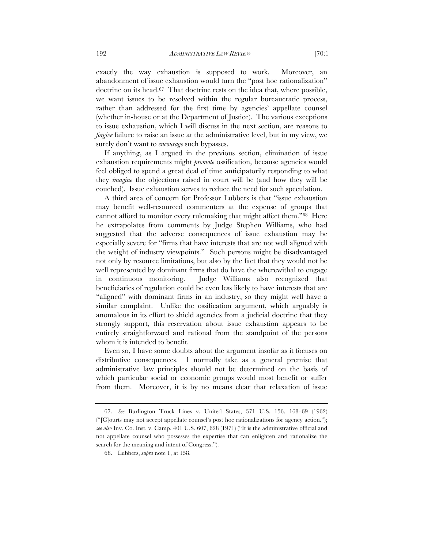exactly the way exhaustion is supposed to work. Moreover, an abandonment of issue exhaustion would turn the "post hoc rationalization" doctrine on its head.67 That doctrine rests on the idea that, where possible, we want issues to be resolved within the regular bureaucratic process, rather than addressed for the first time by agencies' appellate counsel (whether in-house or at the Department of Justice). The various exceptions to issue exhaustion, which I will discuss in the next section, are reasons to *forgive* failure to raise an issue at the administrative level, but in my view, we surely don't want to *encourage* such bypasses.

If anything, as I argued in the previous section, elimination of issue exhaustion requirements might *promote* ossification, because agencies would feel obliged to spend a great deal of time anticipatorily responding to what they *imagine* the objections raised in court will be (and how they will be couched). Issue exhaustion serves to reduce the need for such speculation.

A third area of concern for Professor Lubbers is that "issue exhaustion may benefit well-resourced commenters at the expense of groups that cannot afford to monitor every rulemaking that might affect them."68 Here he extrapolates from comments by Judge Stephen Williams, who had suggested that the adverse consequences of issue exhaustion may be especially severe for "firms that have interests that are not well aligned with the weight of industry viewpoints." Such persons might be disadvantaged not only by resource limitations, but also by the fact that they would not be well represented by dominant firms that do have the wherewithal to engage in continuous monitoring. Judge Williams also recognized that beneficiaries of regulation could be even less likely to have interests that are "aligned" with dominant firms in an industry, so they might well have a similar complaint. Unlike the ossification argument, which arguably is anomalous in its effort to shield agencies from a judicial doctrine that they strongly support, this reservation about issue exhaustion appears to be entirely straightforward and rational from the standpoint of the persons whom it is intended to benefit.

Even so, I have some doubts about the argument insofar as it focuses on distributive consequences. I normally take as a general premise that administrative law principles should not be determined on the basis of which particular social or economic groups would most benefit or suffer from them. Moreover, it is by no means clear that relaxation of issue

<sup>67.</sup> *See* Burlington Truck Lines v. United States, 371 U.S. 156, 168–69 (1962) ("[C]ourts may not accept appellate counsel's post hoc rationalizations for agency action."); *see also* Inv. Co. Inst. v. Camp, 401 U.S. 607, 628 (1971) ("It is the administrative official and not appellate counsel who possesses the expertise that can enlighten and rationalize the search for the meaning and intent of Congress.").

<sup>68.</sup> Lubbers, *supra* note 1, at 158.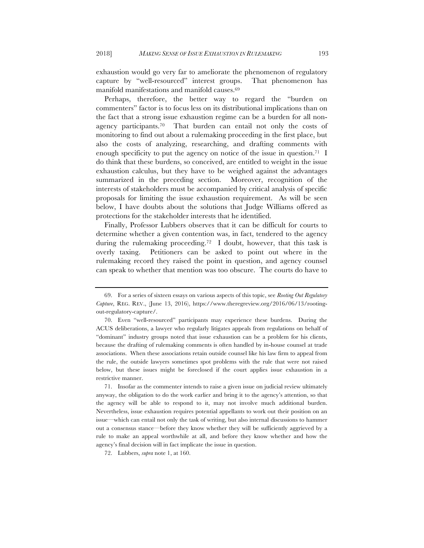exhaustion would go very far to ameliorate the phenomenon of regulatory capture by "well-resourced" interest groups. That phenomenon has manifold manifestations and manifold causes.69

Perhaps, therefore, the better way to regard the "burden on commenters" factor is to focus less on its distributional implications than on the fact that a strong issue exhaustion regime can be a burden for all nonagency participants.70 That burden can entail not only the costs of monitoring to find out about a rulemaking proceeding in the first place, but also the costs of analyzing, researching, and drafting comments with enough specificity to put the agency on notice of the issue in question.<sup>71</sup> I do think that these burdens, so conceived, are entitled to weight in the issue exhaustion calculus, but they have to be weighed against the advantages summarized in the preceding section. Moreover, recognition of the interests of stakeholders must be accompanied by critical analysis of specific proposals for limiting the issue exhaustion requirement. As will be seen below, I have doubts about the solutions that Judge Williams offered as protections for the stakeholder interests that he identified.

Finally, Professor Lubbers observes that it can be difficult for courts to determine whether a given contention was, in fact, tendered to the agency during the rulemaking proceeding.72 I doubt, however, that this task is overly taxing. Petitioners can be asked to point out where in the rulemaking record they raised the point in question, and agency counsel can speak to whether that mention was too obscure. The courts do have to

<sup>69.</sup> For a series of sixteen essays on various aspects of this topic, see *Rooting Out Regulatory Capture*, REG. REV., (June 13, 2016), https://www.theregreview.org/2016/06/13/rootingout-regulatory-capture/.

<sup>70.</sup> Even "well-resourced" participants may experience these burdens. During the ACUS deliberations, a lawyer who regularly litigates appeals from regulations on behalf of "dominant" industry groups noted that issue exhaustion can be a problem for his clients, because the drafting of rulemaking comments is often handled by in-house counsel at trade associations. When these associations retain outside counsel like his law firm to appeal from the rule, the outside lawyers sometimes spot problems with the rule that were not raised below, but these issues might be foreclosed if the court applies issue exhaustion in a restrictive manner.

<sup>71.</sup> Insofar as the commenter intends to raise a given issue on judicial review ultimately anyway, the obligation to do the work earlier and bring it to the agency's attention, so that the agency will be able to respond to it, may not involve much additional burden. Nevertheless, issue exhaustion requires potential appellants to work out their position on an issue—which can entail not only the task of writing, but also internal discussions to hammer out a consensus stance—before they know whether they will be sufficiently aggrieved by a rule to make an appeal worthwhile at all, and before they know whether and how the agency's final decision will in fact implicate the issue in question.

<sup>72.</sup> Lubbers, *supra* note 1, at 160.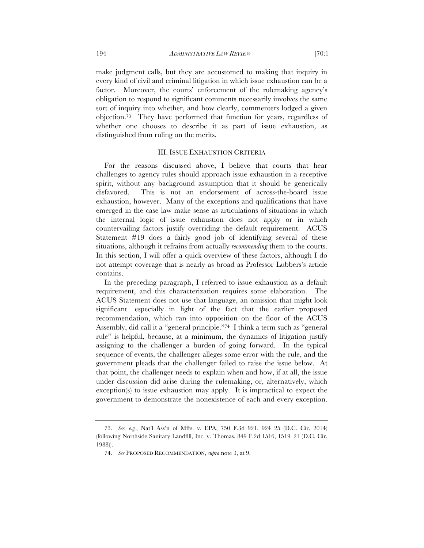make judgment calls, but they are accustomed to making that inquiry in every kind of civil and criminal litigation in which issue exhaustion can be a factor. Moreover, the courts' enforcement of the rulemaking agency's obligation to respond to significant comments necessarily involves the same sort of inquiry into whether, and how clearly, commenters lodged a given objection.73 They have performed that function for years, regardless of whether one chooses to describe it as part of issue exhaustion, as distinguished from ruling on the merits.

# III. ISSUE EXHAUSTION CRITERIA

For the reasons discussed above, I believe that courts that hear challenges to agency rules should approach issue exhaustion in a receptive spirit, without any background assumption that it should be generically disfavored. This is not an endorsement of across-the-board issue exhaustion, however. Many of the exceptions and qualifications that have emerged in the case law make sense as articulations of situations in which the internal logic of issue exhaustion does not apply or in which countervailing factors justify overriding the default requirement. ACUS Statement #19 does a fairly good job of identifying several of these situations, although it refrains from actually *recommending* them to the courts. In this section, I will offer a quick overview of these factors, although I do not attempt coverage that is nearly as broad as Professor Lubbers's article contains.

In the preceding paragraph, I referred to issue exhaustion as a default requirement, and this characterization requires some elaboration. The ACUS Statement does not use that language, an omission that might look significant—especially in light of the fact that the earlier proposed recommendation, which ran into opposition on the floor of the ACUS Assembly, did call it a "general principle."74 I think a term such as "general rule" is helpful, because, at a minimum, the dynamics of litigation justify assigning to the challenger a burden of going forward. In the typical sequence of events, the challenger alleges some error with the rule, and the government pleads that the challenger failed to raise the issue below. At that point, the challenger needs to explain when and how, if at all, the issue under discussion did arise during the rulemaking, or, alternatively, which exception(s) to issue exhaustion may apply. It is impractical to expect the government to demonstrate the nonexistence of each and every exception.

<sup>73.</sup> *See, e.g.*, Nat'l Ass'n of Mfrs. v. EPA, 750 F.3d 921, 924–25 (D.C. Cir. 2014) (following Northside Sanitary Landfill, Inc. v. Thomas, 849 F.2d 1516, 1519–21 (D.C. Cir. 1988)).

<sup>74.</sup> *See* PROPOSED RECOMMENDATION, *supra* note 3, at 9.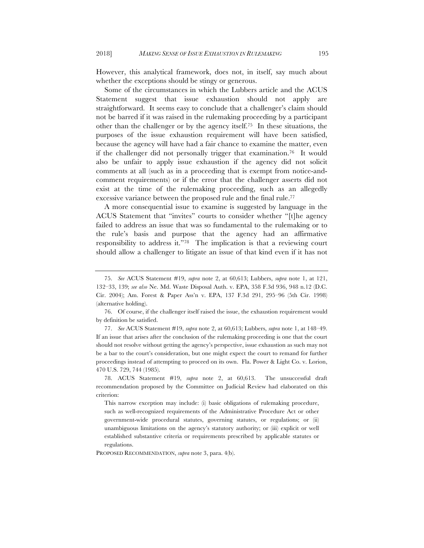However, this analytical framework, does not, in itself, say much about whether the exceptions should be stingy or generous.

Some of the circumstances in which the Lubbers article and the ACUS Statement suggest that issue exhaustion should not apply are straightforward. It seems easy to conclude that a challenger's claim should not be barred if it was raised in the rulemaking proceeding by a participant other than the challenger or by the agency itself.75 In these situations, the purposes of the issue exhaustion requirement will have been satisfied, because the agency will have had a fair chance to examine the matter, even if the challenger did not personally trigger that examination.76 It would also be unfair to apply issue exhaustion if the agency did not solicit comments at all (such as in a proceeding that is exempt from notice-andcomment requirements) or if the error that the challenger asserts did not exist at the time of the rulemaking proceeding, such as an allegedly excessive variance between the proposed rule and the final rule.77

A more consequential issue to examine is suggested by language in the ACUS Statement that "invites" courts to consider whether "[t]he agency failed to address an issue that was so fundamental to the rulemaking or to the rule's basis and purpose that the agency had an affirmative responsibility to address it."78 The implication is that a reviewing court should allow a challenger to litigate an issue of that kind even if it has not

PROPOSED RECOMMENDATION, *supra* note 3, para. 4(b).

<sup>75.</sup> *See* ACUS Statement #19, *supra* note 2, at 60,613; Lubbers, *supra* note 1, at 121, 132–33, 139; *see also* Ne. Md. Waste Disposal Auth. v. EPA, 358 F.3d 936, 948 n.12 (D.C. Cir. 2004); Am. Forest & Paper Ass'n v. EPA, 137 F.3d 291, 295–96 (5th Cir. 1998) (alternative holding).

<sup>76.</sup> Of course, if the challenger itself raised the issue, the exhaustion requirement would by definition be satisfied.

<sup>77.</sup> *See* ACUS Statement #19, *supra* note 2, at 60,613; Lubbers, *supra* note 1, at 148–49. If an issue that arises after the conclusion of the rulemaking proceeding is one that the court should not resolve without getting the agency's perspective, issue exhaustion as such may not be a bar to the court's consideration, but one might expect the court to remand for further proceedings instead of attempting to proceed on its own. Fla. Power & Light Co. v. Lorion, 470 U.S. 729, 744 (1985).

<sup>78.</sup> ACUS Statement #19, *supra* note 2, at 60,613. The unsuccessful draft recommendation proposed by the Committee on Judicial Review had elaborated on this criterion:

This narrow exception may include: (i) basic obligations of rulemaking procedure, such as well-recognized requirements of the Administrative Procedure Act or other government-wide procedural statutes, governing statutes, or regulations; or (ii) unambiguous limitations on the agency's statutory authority; or (iii) explicit or well established substantive criteria or requirements prescribed by applicable statutes or regulations.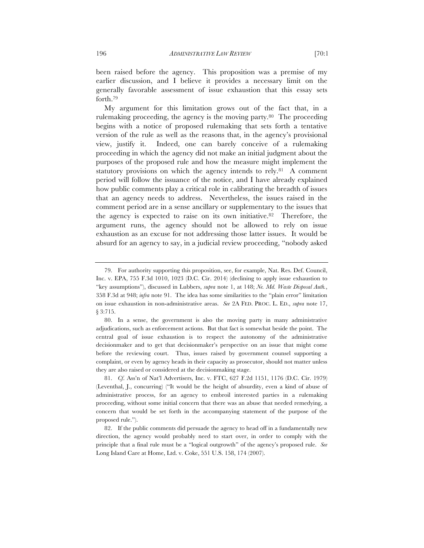been raised before the agency. This proposition was a premise of my earlier discussion, and I believe it provides a necessary limit on the generally favorable assessment of issue exhaustion that this essay sets forth.79

My argument for this limitation grows out of the fact that, in a rulemaking proceeding, the agency is the moving party.80 The proceeding begins with a notice of proposed rulemaking that sets forth a tentative version of the rule as well as the reasons that, in the agency's provisional view, justify it. Indeed, one can barely conceive of a rulemaking proceeding in which the agency did not make an initial judgment about the purposes of the proposed rule and how the measure might implement the statutory provisions on which the agency intends to rely.<sup>81</sup> A comment period will follow the issuance of the notice, and I have already explained how public comments play a critical role in calibrating the breadth of issues that an agency needs to address. Nevertheless, the issues raised in the comment period are in a sense ancillary or supplementary to the issues that the agency is expected to raise on its own initiative.82 Therefore, the argument runs, the agency should not be allowed to rely on issue exhaustion as an excuse for not addressing those latter issues. It would be absurd for an agency to say, in a judicial review proceeding, "nobody asked

<sup>79.</sup> For authority supporting this proposition, see, for example, Nat. Res. Def. Council, Inc. v. EPA, 755 F.3d 1010, 1023 (D.C. Cir. 2014) (declining to apply issue exhaustion to "key assumptions"), discussed in Lubbers, *supra* note 1, at 148; *Ne. Md. Waste Disposal Auth.*, 358 F.3d at 948; *infra* note 91. The idea has some similarities to the "plain error" limitation on issue exhaustion in non-administrative areas. *See* 2A FED. PROC. L. ED., *supra* note 17, § 3:715.

<sup>80.</sup> In a sense, the government is also the moving party in many administrative adjudications, such as enforcement actions. But that fact is somewhat beside the point. The central goal of issue exhaustion is to respect the autonomy of the administrative decisionmaker and to get that decisionmaker's perspective on an issue that might come before the reviewing court. Thus, issues raised by government counsel supporting a complaint, or even by agency heads in their capacity as prosecutor, should not matter unless they are also raised or considered at the decisionmaking stage.

<sup>81.</sup> *Cf*. Ass'n of Nat'l Advertisers, Inc. v. FTC, 627 F.2d 1151, 1176 (D.C. Cir. 1979) (Leventhal, J., concurring) ("It would be the height of absurdity, even a kind of abuse of administrative process, for an agency to embroil interested parties in a rulemaking proceeding, without some initial concern that there was an abuse that needed remedying, a concern that would be set forth in the accompanying statement of the purpose of the proposed rule.").

<sup>82.</sup> If the public comments did persuade the agency to head off in a fundamentally new direction, the agency would probably need to start over, in order to comply with the principle that a final rule must be a "logical outgrowth" of the agency's proposed rule. *See* Long Island Care at Home, Ltd. v. Coke, 551 U.S. 158, 174 (2007).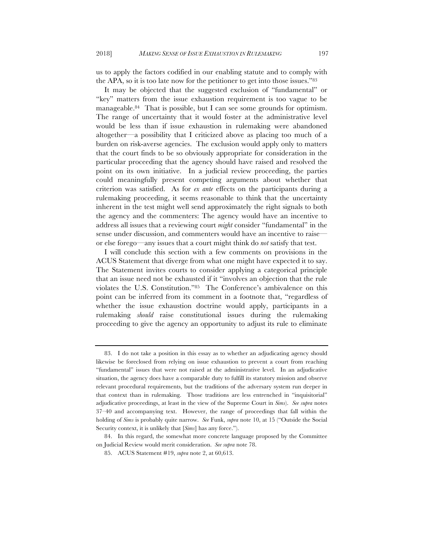us to apply the factors codified in our enabling statute and to comply with the APA, so it is too late now for the petitioner to get into those issues."83

It may be objected that the suggested exclusion of "fundamental" or "key" matters from the issue exhaustion requirement is too vague to be manageable.84 That is possible, but I can see some grounds for optimism. The range of uncertainty that it would foster at the administrative level would be less than if issue exhaustion in rulemaking were abandoned altogether—a possibility that I criticized above as placing too much of a burden on risk-averse agencies. The exclusion would apply only to matters that the court finds to be so obviously appropriate for consideration in the particular proceeding that the agency should have raised and resolved the point on its own initiative. In a judicial review proceeding, the parties could meaningfully present competing arguments about whether that criterion was satisfied. As for *ex ante* effects on the participants during a rulemaking proceeding, it seems reasonable to think that the uncertainty inherent in the test might well send approximately the right signals to both the agency and the commenters: The agency would have an incentive to address all issues that a reviewing court *might* consider "fundamental" in the sense under discussion, and commenters would have an incentive to raise or else forego—any issues that a court might think do *not* satisfy that test.

I will conclude this section with a few comments on provisions in the ACUS Statement that diverge from what one might have expected it to say. The Statement invites courts to consider applying a categorical principle that an issue need not be exhausted if it "involves an objection that the rule violates the U.S. Constitution."85 The Conference's ambivalence on this point can be inferred from its comment in a footnote that, "regardless of whether the issue exhaustion doctrine would apply, participants in a rulemaking *should* raise constitutional issues during the rulemaking proceeding to give the agency an opportunity to adjust its rule to eliminate

<sup>83.</sup> I do not take a position in this essay as to whether an adjudicating agency should likewise be foreclosed from relying on issue exhaustion to prevent a court from reaching "fundamental" issues that were not raised at the administrative level. In an adjudicative situation, the agency does have a comparable duty to fulfill its statutory mission and observe relevant procedural requirements, but the traditions of the adversary system run deeper in that context than in rulemaking. Those traditions are less entrenched in "inquisitorial" adjudicative proceedings, at least in the view of the Supreme Court in *Sims*). *See supra* notes 37–40 and accompanying text. However, the range of proceedings that fall within the holding of *Sims* is probably quite narrow. *See* Funk, *supra* note 10, at 15 ("Outside the Social Security context, it is unlikely that [*Sims*] has any force.").

<sup>84.</sup> In this regard, the somewhat more concrete language proposed by the Committee on Judicial Review would merit consideration. *See supra* note 78.

<sup>85.</sup> ACUS Statement #19, *supra* note 2, at 60,613.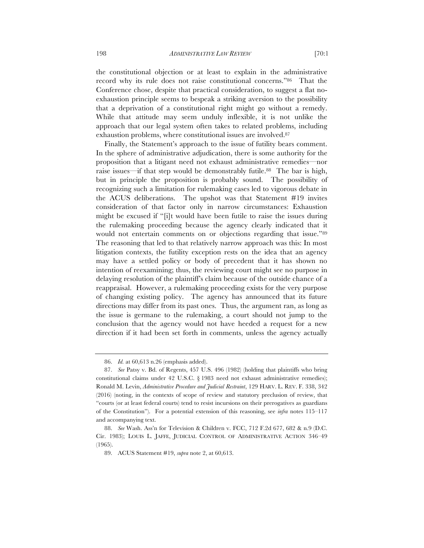the constitutional objection or at least to explain in the administrative record why its rule does not raise constitutional concerns."86 That the Conference chose, despite that practical consideration, to suggest a flat noexhaustion principle seems to bespeak a striking aversion to the possibility that a deprivation of a constitutional right might go without a remedy. While that attitude may seem unduly inflexible, it is not unlike the approach that our legal system often takes to related problems, including exhaustion problems, where constitutional issues are involved.87

Finally, the Statement's approach to the issue of futility bears comment. In the sphere of administrative adjudication, there is some authority for the proposition that a litigant need not exhaust administrative remedies—nor raise issues—if that step would be demonstrably futile.<sup>88</sup> The bar is high, but in principle the proposition is probably sound. The possibility of recognizing such a limitation for rulemaking cases led to vigorous debate in the ACUS deliberations. The upshot was that Statement #19 invites consideration of that factor only in narrow circumstances: Exhaustion might be excused if "[i]t would have been futile to raise the issues during the rulemaking proceeding because the agency clearly indicated that it would not entertain comments on or objections regarding that issue."<sup>89</sup> The reasoning that led to that relatively narrow approach was this: In most litigation contexts, the futility exception rests on the idea that an agency may have a settled policy or body of precedent that it has shown no intention of reexamining; thus, the reviewing court might see no purpose in delaying resolution of the plaintiff's claim because of the outside chance of a reappraisal. However, a rulemaking proceeding exists for the very purpose of changing existing policy. The agency has announced that its future directions may differ from its past ones. Thus, the argument ran, as long as the issue is germane to the rulemaking, a court should not jump to the conclusion that the agency would not have heeded a request for a new direction if it had been set forth in comments, unless the agency actually

<sup>86.</sup> *Id.* at 60,613 n.26 (emphasis added).

<sup>87.</sup> *See* Patsy v. Bd. of Regents, 457 U.S. 496 (1982) (holding that plaintiffs who bring constitutional claims under 42 U.S.C. § 1983 need not exhaust administrative remedies); Ronald M. Levin, *Administrative Procedure and Judicial Restraint*, 129 HARV. L. REV. F. 338, 342 (2016) (noting, in the contexts of scope of review and statutory preclusion of review, that "courts (or at least federal courts) tend to resist incursions on their prerogatives as guardians of the Constitution"). For a potential extension of this reasoning, see *infra* notes 115–117 and accompanying text.

<sup>88.</sup> *See* Wash. Ass'n for Television & Children v. FCC, 712 F.2d 677, 682 & n.9 (D.C. Cir. 1983); LOUIS L. JAFFE, JUDICIAL CONTROL OF ADMINISTRATIVE ACTION 346–49 (1965).

<sup>89.</sup> ACUS Statement #19, *supra* note 2, at 60,613.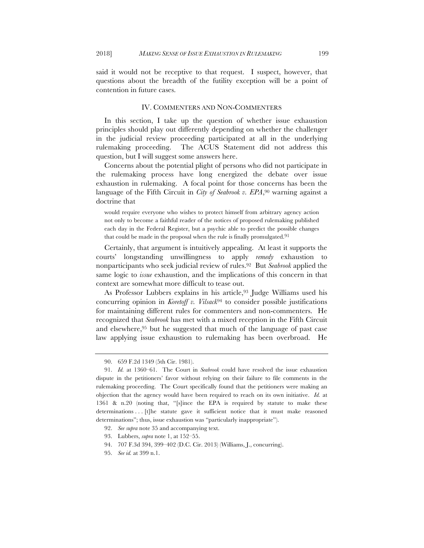said it would not be receptive to that request. I suspect, however, that questions about the breadth of the futility exception will be a point of contention in future cases.

#### IV. COMMENTERS AND NON-COMMENTERS

In this section, I take up the question of whether issue exhaustion principles should play out differently depending on whether the challenger in the judicial review proceeding participated at all in the underlying rulemaking proceeding. The ACUS Statement did not address this question, but I will suggest some answers here.

Concerns about the potential plight of persons who did not participate in the rulemaking process have long energized the debate over issue exhaustion in rulemaking. A focal point for those concerns has been the language of the Fifth Circuit in *City of Seabrook v. EPA*,90 warning against a doctrine that

would require everyone who wishes to protect himself from arbitrary agency action not only to become a faithful reader of the notices of proposed rulemaking published each day in the Federal Register, but a psychic able to predict the possible changes that could be made in the proposal when the rule is finally promulgated.<sup>91</sup>

Certainly, that argument is intuitively appealing. At least it supports the courts' longstanding unwillingness to apply *remedy* exhaustion to nonparticipants who seek judicial review of rules.92 But *Seabrook* applied the same logic to *issue* exhaustion, and the implications of this concern in that context are somewhat more difficult to tease out.

As Professor Lubbers explains in his article,93 Judge Williams used his concurring opinion in *Koretoff v. Vilsack*<sup>94</sup> to consider possible justifications for maintaining different rules for commenters and non-commenters. He recognized that *Seabrook* has met with a mixed reception in the Fifth Circuit and elsewhere, $95$  but he suggested that much of the language of past case law applying issue exhaustion to rulemaking has been overbroad. He

<sup>90.</sup> 659 F.2d 1349 (5th Cir. 1981).

<sup>91.</sup> *Id.* at 1360–61. The Court in *Seabrook* could have resolved the issue exhaustion dispute in the petitioners' favor without relying on their failure to file comments in the rulemaking proceeding. The Court specifically found that the petitioners were making an objection that the agency would have been required to reach on its own initiative. *Id.* at 1361 & n.20 (noting that, "[s]ince the EPA is required by statute to make these determinations . . . [t]he statute gave it sufficient notice that it must make reasoned determinations"; thus, issue exhaustion was "particularly inappropriate").

<sup>92.</sup> *See supra* note 35 and accompanying text.

<sup>93.</sup> Lubbers, *supra* note 1, at 152–55.

<sup>94.</sup> 707 F.3d 394, 399–402 (D.C. Cir. 2013) (Williams, J., concurring).

<sup>95.</sup> *See id.* at 399 n.1.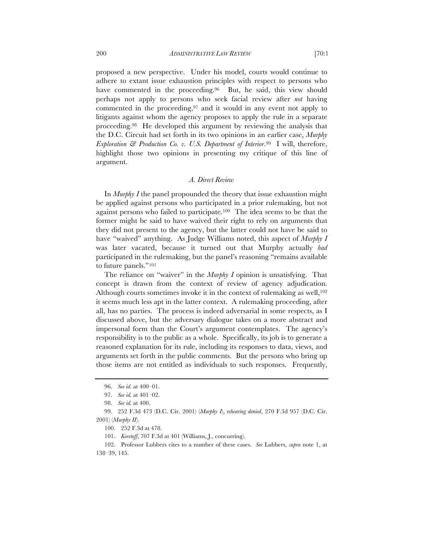proposed a new perspective. Under his model, courts would continue to adhere to extant issue exhaustion principles with respect to persons who have commented in the proceeding.<sup>96</sup> But, he said, this view should perhaps not apply to persons who seek facial review after *not* having commented in the proceeding,<sup>97</sup> and it would in any event not apply to litigants against whom the agency proposes to apply the rule in a separate proceeding.98 He developed this argument by reviewing the analysis that the D.C. Circuit had set forth in its two opinions in an earlier case, *Murphy Exploration & Production Co. v. U.S. Department of Interior*.99 I will, therefore, highlight those two opinions in presenting my critique of this line of argument.

# *A. Direct Review*

In *Murphy I* the panel propounded the theory that issue exhaustion might be applied against persons who participated in a prior rulemaking, but not against persons who failed to participate.100 The idea seems to be that the former might be said to have waived their right to rely on arguments that they did not present to the agency, but the latter could not have be said to have "waived" anything. As Judge Williams noted, this aspect of *Murphy I* was later vacated, because it turned out that Murphy actually *had* participated in the rulemaking, but the panel's reasoning "remains available to future panels."101

The reliance on "waiver" in the *Murphy I* opinion is unsatisfying. That concept is drawn from the context of review of agency adjudication. Although courts sometimes invoke it in the context of rulemaking as well,<sup>102</sup> it seems much less apt in the latter context. A rulemaking proceeding, after all, has no parties. The process is indeed adversarial in some respects, as I discussed above, but the adversary dialogue takes on a more abstract and impersonal form than the Court's argument contemplates. The agency's responsibility is to the public as a whole. Specifically, its job is to generate a reasoned explanation for its rule, including its responses to data, views, and arguments set forth in the public comments. But the persons who bring up those items are not entitled as individuals to such responses. Frequently,

<sup>96.</sup> *See id.* at 400–01.

<sup>97.</sup> *See id.* at 401–02.

<sup>98.</sup> *See id.* at 400.

<sup>99.</sup> 252 F.3d 473 (D.C. Cir. 2001) (*Murphy I*), *rehearing denied*, 270 F.3d 957 (D.C. Cir. 2001) (*Murphy II*).

<sup>100.</sup> 252 F.3d at 478.

<sup>101.</sup> *Koretoff*, 707 F.3d at 401 (Williams, J., concurring).

<sup>102.</sup> Professor Lubbers cites to a number of these cases. *See* Lubbers, *supra* note 1, at 138–39, 145.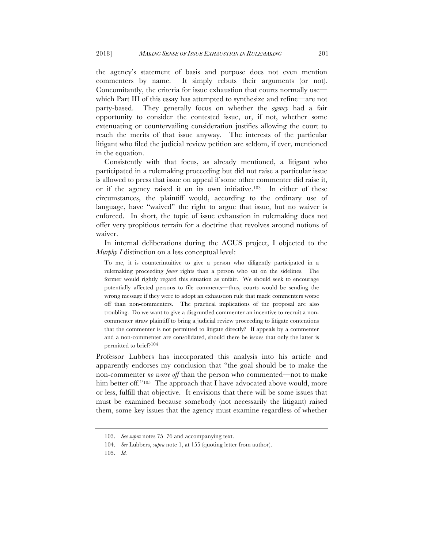the agency's statement of basis and purpose does not even mention commenters by name. It simply rebuts their arguments (or not). Concomitantly, the criteria for issue exhaustion that courts normally use which Part III of this essay has attempted to synthesize and refine—are not party-based. They generally focus on whether the *agency* had a fair opportunity to consider the contested issue, or, if not, whether some extenuating or countervailing consideration justifies allowing the court to reach the merits of that issue anyway. The interests of the particular litigant who filed the judicial review petition are seldom, if ever, mentioned in the equation.

Consistently with that focus, as already mentioned, a litigant who participated in a rulemaking proceeding but did not raise a particular issue is allowed to press that issue on appeal if some other commenter did raise it, or if the agency raised it on its own initiative.103 In either of these circumstances, the plaintiff would, according to the ordinary use of language, have "waived" the right to argue that issue, but no waiver is enforced. In short, the topic of issue exhaustion in rulemaking does not offer very propitious terrain for a doctrine that revolves around notions of waiver.

In internal deliberations during the ACUS project, I objected to the *Murphy I* distinction on a less conceptual level:

To me, it is counterintuitive to give a person who diligently participated in a rulemaking proceeding *fewer* rights than a person who sat on the sidelines. The former would rightly regard this situation as unfair. We should seek to encourage potentially affected persons to file comments—thus, courts would be sending the wrong message if they were to adopt an exhaustion rule that made commenters worse off than non-commenters. The practical implications of the proposal are also troubling. Do we want to give a disgruntled commenter an incentive to recruit a noncommenter straw plaintiff to bring a judicial review proceeding to litigate contentions that the commenter is not permitted to litigate directly? If appeals by a commenter and a non-commenter are consolidated, should there be issues that only the latter is permitted to brief?104

Professor Lubbers has incorporated this analysis into his article and apparently endorses my conclusion that "the goal should be to make the non-commenter *no worse off* than the person who commented—not to make him better off."<sup>105</sup> The approach that I have advocated above would, more or less, fulfill that objective. It envisions that there will be some issues that must be examined because somebody (not necessarily the litigant) raised them, some key issues that the agency must examine regardless of whether

<sup>103.</sup> *See supra* notes 75–76 and accompanying text.

<sup>104.</sup> *See* Lubbers, *supra* note 1, at 155 (quoting letter from author).

<sup>105.</sup> *Id.*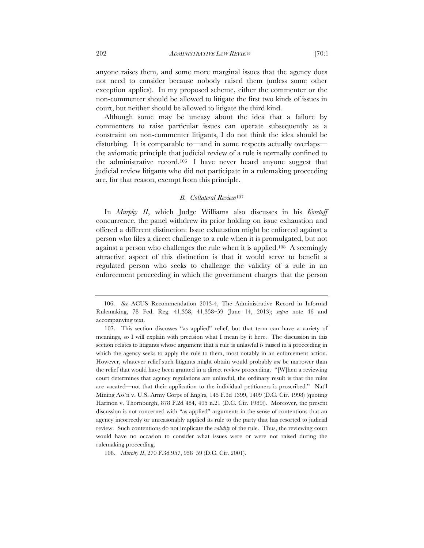anyone raises them, and some more marginal issues that the agency does not need to consider because nobody raised them (unless some other exception applies). In my proposed scheme, either the commenter or the non-commenter should be allowed to litigate the first two kinds of issues in court, but neither should be allowed to litigate the third kind.

Although some may be uneasy about the idea that a failure by commenters to raise particular issues can operate subsequently as a constraint on non-commenter litigants, I do not think the idea should be disturbing. It is comparable to—and in some respects actually overlaps the axiomatic principle that judicial review of a rule is normally confined to the administrative record.106 I have never heard anyone suggest that judicial review litigants who did not participate in a rulemaking proceeding are, for that reason, exempt from this principle.

## *B. Collateral Review*<sup>107</sup>

In *Murphy II*, which Judge Williams also discusses in his *Koretoff* concurrence, the panel withdrew its prior holding on issue exhaustion and offered a different distinction: Issue exhaustion might be enforced against a person who files a direct challenge to a rule when it is promulgated, but not against a person who challenges the rule when it is applied.108 A seemingly attractive aspect of this distinction is that it would serve to benefit a regulated person who seeks to challenge the validity of a rule in an enforcement proceeding in which the government charges that the person

 <sup>106.</sup> *See* ACUS Recommendation 2013-4, The Administrative Record in Informal Rulemaking, 78 Fed. Reg. 41,358, 41,358–59 (June 14, 2013); *supra* note 46 and accompanying text.

<sup>107.</sup> This section discusses "as applied" relief, but that term can have a variety of meanings, so I will explain with precision what I mean by it here. The discussion in this section relates to litigants whose argument that a rule is unlawful is raised in a proceeding in which the agency seeks to apply the rule to them, most notably in an enforcement action. However, whatever relief such litigants might obtain would probably *not* be narrower than the relief that would have been granted in a direct review proceeding. "[W]hen a reviewing court determines that agency regulations are unlawful, the ordinary result is that the rules are vacated—not that their application to the individual petitioners is proscribed." Nat'l Mining Ass'n v. U.S. Army Corps of Eng'rs, 145 F.3d 1399, 1409 (D.C. Cir. 1998) (quoting Harmon v. Thornburgh, 878 F.2d 484, 495 n.21 (D.C. Cir. 1989)). Moreover, the present discussion is not concerned with "as applied" arguments in the sense of contentions that an agency incorrectly or unreasonably applied its rule to the party that has resorted to judicial review. Such contentions do not implicate the *validity* of the rule. Thus, the reviewing court would have no occasion to consider what issues were or were not raised during the rulemaking proceeding.

<sup>108.</sup> *Murphy II*, 270 F.3d 957, 958–59 (D.C. Cir. 2001).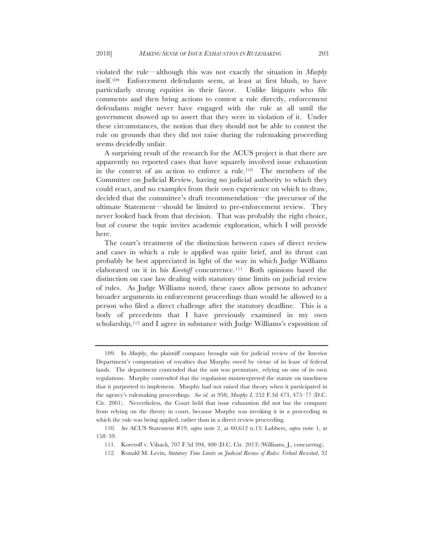violated the rule—although this was not exactly the situation in *Murphy* itself.109 Enforcement defendants seem, at least at first blush, to have particularly strong equities in their favor. Unlike litigants who file comments and then bring actions to contest a rule directly, enforcement defendants might never have engaged with the rule at all until the government showed up to assert that they were in violation of it. Under these circumstances, the notion that they should not be able to contest the rule on grounds that they did not raise during the rulemaking proceeding seems decidedly unfair.

A surprising result of the research for the ACUS project is that there are apparently no reported cases that have squarely involved issue exhaustion in the context of an action to enforce a rule.110 The members of the Committee on Judicial Review, having no judicial authority to which they could react, and no examples from their own experience on which to draw, decided that the committee's draft recommendation—the precursor of the ultimate Statement—should be limited to pre-enforcement review. They never looked back from that decision. That was probably the right choice, but of course the topic invites academic exploration, which I will provide here.

The court's treatment of the distinction between cases of direct review and cases in which a rule is applied was quite brief, and its thrust can probably be best appreciated in light of the way in which Judge Williams elaborated on it in his *Koretoff* concurrence.111 Both opinions based the distinction on case law dealing with statutory time limits on judicial review of rules. As Judge Williams noted, these cases allow persons to advance broader arguments in enforcement proceedings than would be allowed to a person who filed a direct challenge after the statutory deadline. This is a body of precedents that I have previously examined in my own scholarship,112 and I agree in substance with Judge Williams's exposition of

<sup>109.</sup> In *Murphy*, the plaintiff company brought suit for judicial review of the Interior Department's computation of royalties that Murphy owed by virtue of its lease of federal lands. The department contended that the suit was premature, relying on one of its own regulations. Murphy contended that the regulation misinterpreted the statute on timeliness that it purported to implement. Murphy had not raised that theory when it participated in the agency's rulemaking proceedings. *See id.* at 958; *Murphy I*, 252 F.3d 473, 475–77 (D.C. Cir. 2001). Nevertheless, the Court held that issue exhaustion did not bar the company from relying on the theory in court, because Murphy was invoking it in a proceeding in which the rule was being applied, rather than in a direct review proceeding.

<sup>110.</sup> *See* ACUS Statement #19, *supra* note 2, at 60,612 n.13; Lubbers, *supra* note 1, at 158–59.

<sup>111.</sup> Koretoff v. Vilsack, 707 F.3d 394, 400 (D.C. Cir. 2013) (Williams, J., concurring).

<sup>112.</sup> Ronald M. Levin, *Statutory Time Limits on Judicial Review of Rules: Verkuil Revisited*, 32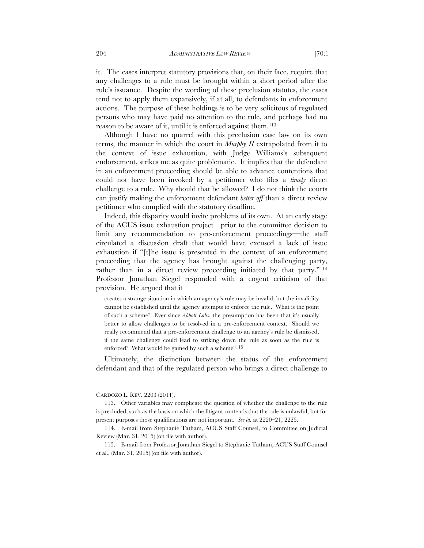it. The cases interpret statutory provisions that, on their face, require that any challenges to a rule must be brought within a short period after the rule's issuance. Despite the wording of these preclusion statutes, the cases tend not to apply them expansively, if at all, to defendants in enforcement actions. The purpose of these holdings is to be very solicitous of regulated persons who may have paid no attention to the rule, and perhaps had no reason to be aware of it, until it is enforced against them.113

Although I have no quarrel with this preclusion case law on its own terms, the manner in which the court in *Murphy II* extrapolated from it to the context of issue exhaustion, with Judge Williams's subsequent endorsement, strikes me as quite problematic. It implies that the defendant in an enforcement proceeding should be able to advance contentions that could not have been invoked by a petitioner who files a *timely* direct challenge to a rule. Why should that be allowed? I do not think the courts can justify making the enforcement defendant *better off* than a direct review petitioner who complied with the statutory deadline.

Indeed, this disparity would invite problems of its own. At an early stage of the ACUS issue exhaustion project—prior to the committee decision to limit any recommendation to pre-enforcement proceedings—the staff circulated a discussion draft that would have excused a lack of issue exhaustion if "[t]he issue is presented in the context of an enforcement proceeding that the agency has brought against the challenging party, rather than in a direct review proceeding initiated by that party."114 Professor Jonathan Siegel responded with a cogent criticism of that provision. He argued that it

creates a strange situation in which an agency's rule may be invalid, but the invalidity cannot be established until the agency attempts to enforce the rule. What is the point of such a scheme? Ever since *Abbott Labs*, the presumption has been that it's usually better to allow challenges to be resolved in a pre-enforcement context. Should we really recommend that a pre-enforcement challenge to an agency's rule be dismissed, if the same challenge could lead to striking down the rule as soon as the rule is enforced? What would be gained by such a scheme?<sup>115</sup>

Ultimately, the distinction between the status of the enforcement defendant and that of the regulated person who brings a direct challenge to

CARDOZO L. REV. 2203 (2011).

<sup>113.</sup> Other variables may complicate the question of whether the challenge to the rule is precluded, such as the basis on which the litigant contends that the rule is unlawful, but for present purposes those qualifications are not important. *See id.* at 2220–21, 2225.

<sup>114.</sup> E-mail from Stephanie Tatham, ACUS Staff Counsel, to Committee on Judicial Review (Mar. 31, 2015) (on file with author).

<sup>115.</sup> E-mail from Professor Jonathan Siegel to Stephanie Tatham, ACUS Staff Counsel et al., (Mar. 31, 2015) (on file with author).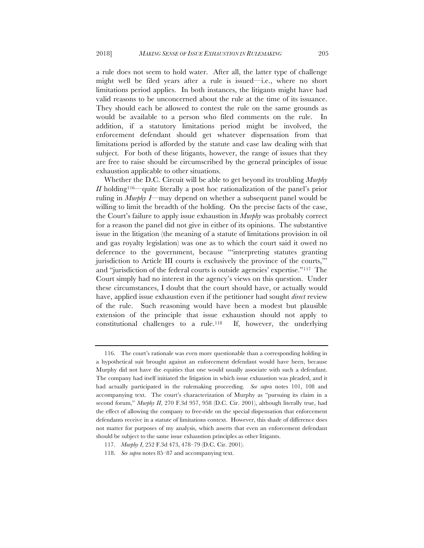a rule does not seem to hold water. After all, the latter type of challenge might well be filed years after a rule is issued—i.e., where no short limitations period applies. In both instances, the litigants might have had valid reasons to be unconcerned about the rule at the time of its issuance. They should each be allowed to contest the rule on the same grounds as would be available to a person who filed comments on the rule. In addition, if a statutory limitations period might be involved, the enforcement defendant should get whatever dispensation from that limitations period is afforded by the statute and case law dealing with that subject. For both of these litigants, however, the range of issues that they are free to raise should be circumscribed by the general principles of issue exhaustion applicable to other situations.

Whether the D.C. Circuit will be able to get beyond its troubling *Murphy II* holding116—quite literally a post hoc rationalization of the panel's prior ruling in *Murphy I*—may depend on whether a subsequent panel would be willing to limit the breadth of the holding. On the precise facts of the case, the Court's failure to apply issue exhaustion in *Murphy* was probably correct for a reason the panel did not give in either of its opinions. The substantive issue in the litigation (the meaning of a statute of limitations provision in oil and gas royalty legislation) was one as to which the court said it owed no deference to the government, because "'interpreting statutes granting jurisdiction to Article III courts is exclusively the province of the courts,'" and "jurisdiction of the federal courts is outside agencies' expertise."117 The Court simply had no interest in the agency's views on this question. Under these circumstances, I doubt that the court should have, or actually would have, applied issue exhaustion even if the petitioner had sought *direct* review of the rule. Such reasoning would have been a modest but plausible extension of the principle that issue exhaustion should not apply to constitutional challenges to a rule.118 If, however, the underlying

<sup>116.</sup> The court's rationale was even more questionable than a corresponding holding in a hypothetical suit brought against an enforcement defendant would have been, because Murphy did not have the equities that one would usually associate with such a defendant. The company had itself initiated the litigation in which issue exhaustion was pleaded, and it had actually participated in the rulemaking proceeding. *See supra* notes 101, 108 and accompanying text. The court's characterization of Murphy as "pursuing its claim in a second forum," *Murphy II*, 270 F.3d 957, 958 (D.C. Cir. 2001), although literally true, had the effect of allowing the company to free-ride on the special dispensation that enforcement defendants receive in a statute of limitations context. However, this shade of difference does not matter for purposes of my analysis, which asserts that even an enforcement defendant should be subject to the same issue exhaustion principles as other litigants.

<sup>117.</sup> *Murphy I*, 252 F.3d 473, 478–79 (D.C. Cir. 2001).

<sup>118.</sup> *See supra* notes 85–87 and accompanying text.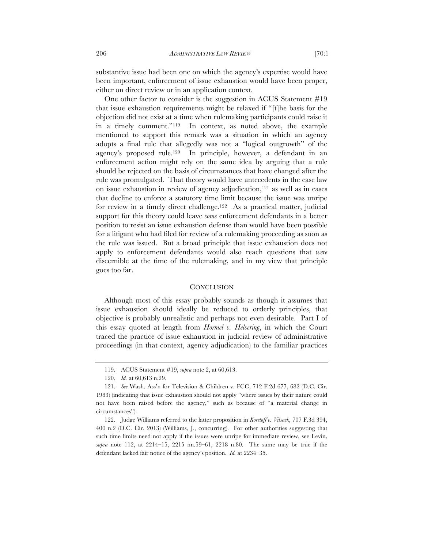substantive issue had been one on which the agency's expertise would have been important, enforcement of issue exhaustion would have been proper, either on direct review or in an application context.

One other factor to consider is the suggestion in ACUS Statement #19 that issue exhaustion requirements might be relaxed if "[t]he basis for the objection did not exist at a time when rulemaking participants could raise it in a timely comment."119 In context, as noted above, the example mentioned to support this remark was a situation in which an agency adopts a final rule that allegedly was not a "logical outgrowth" of the agency's proposed rule.120 In principle, however, a defendant in an enforcement action might rely on the same idea by arguing that a rule should be rejected on the basis of circumstances that have changed after the rule was promulgated. That theory would have antecedents in the case law on issue exhaustion in review of agency adjudication, $121$  as well as in cases that decline to enforce a statutory time limit because the issue was unripe for review in a timely direct challenge.<sup>122</sup> As a practical matter, judicial support for this theory could leave *some* enforcement defendants in a better position to resist an issue exhaustion defense than would have been possible for a litigant who had filed for review of a rulemaking proceeding as soon as the rule was issued. But a broad principle that issue exhaustion does not apply to enforcement defendants would also reach questions that *were*  discernible at the time of the rulemaking, and in my view that principle goes too far.

#### **CONCLUSION**

Although most of this essay probably sounds as though it assumes that issue exhaustion should ideally be reduced to orderly principles, that objective is probably unrealistic and perhaps not even desirable. Part I of this essay quoted at length from *Hormel v. Helvering*, in which the Court traced the practice of issue exhaustion in judicial review of administrative proceedings (in that context, agency adjudication) to the familiar practices

<sup>119.</sup> ACUS Statement #19, *supra* note 2, at 60,613.

<sup>120.</sup> *Id.* at 60,613 n.29.

<sup>121.</sup> *See* Wash. Ass'n for Television & Children v. FCC, 712 F.2d 677, 682 (D.C. Cir. 1983) (indicating that issue exhaustion should not apply "where issues by their nature could not have been raised before the agency," such as because of "a material change in circumstances").

<sup>122.</sup> Judge Williams referred to the latter proposition in *Koretoff v. Vilsack*, 707 F.3d 394, 400 n.2 (D.C. Cir. 2013) (Williams, J., concurring). For other authorities suggesting that such time limits need not apply if the issues were unripe for immediate review, see Levin, *supra* note 112, at 2214–15, 2215 nn.59–61, 2218 n.80. The same may be true if the defendant lacked fair notice of the agency's position. *Id.* at 2234–35.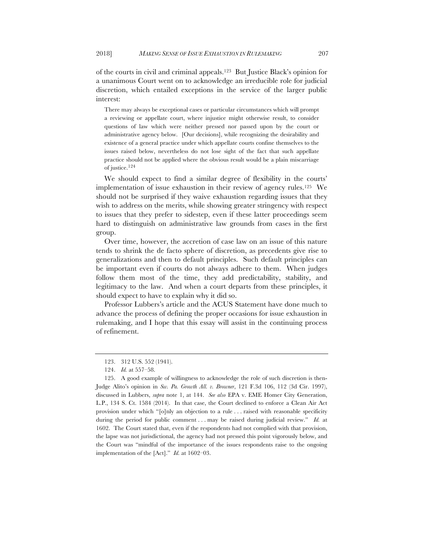of the courts in civil and criminal appeals.123 But Justice Black's opinion for a unanimous Court went on to acknowledge an irreducible role for judicial discretion, which entailed exceptions in the service of the larger public interest:

There may always be exceptional cases or particular circumstances which will prompt a reviewing or appellate court, where injustice might otherwise result, to consider questions of law which were neither pressed nor passed upon by the court or administrative agency below. [Our decisions], while recognizing the desirability and existence of a general practice under which appellate courts confine themselves to the issues raised below, nevertheless do not lose sight of the fact that such appellate practice should not be applied where the obvious result would be a plain miscarriage of justice.124

We should expect to find a similar degree of flexibility in the courts' implementation of issue exhaustion in their review of agency rules.125 We should not be surprised if they waive exhaustion regarding issues that they wish to address on the merits, while showing greater stringency with respect to issues that they prefer to sidestep, even if these latter proceedings seem hard to distinguish on administrative law grounds from cases in the first group.

Over time, however, the accretion of case law on an issue of this nature tends to shrink the de facto sphere of discretion, as precedents give rise to generalizations and then to default principles. Such default principles can be important even if courts do not always adhere to them. When judges follow them most of the time, they add predictability, stability, and legitimacy to the law. And when a court departs from these principles, it should expect to have to explain why it did so.

Professor Lubbers's article and the ACUS Statement have done much to advance the process of defining the proper occasions for issue exhaustion in rulemaking, and I hope that this essay will assist in the continuing process of refinement.

<sup>123.</sup> 312 U.S. 552 (1941).

<sup>124.</sup> *Id.* at 557–58.

<sup>125.</sup> A good example of willingness to acknowledge the role of such discretion is then-Judge Alito's opinion in *Sw. Pa. Growth All. v. Browner*, 121 F.3d 106, 112 (3d Cir. 1997), discussed in Lubbers, *supra* note 1, at 144. *See also* EPA v. EME Homer City Generation, L.P., 134 S. Ct. 1584 (2014). In that case, the Court declined to enforce a Clean Air Act provision under which "[o]nly an objection to a rule . . . raised with reasonable specificity during the period for public comment . . . may be raised during judicial review." *Id.* at 1602. The Court stated that, even if the respondents had not complied with that provision, the lapse was not jurisdictional, the agency had not pressed this point vigorously below, and the Court was "mindful of the importance of the issues respondents raise to the ongoing implementation of the [Act]." *Id.* at 1602–03.